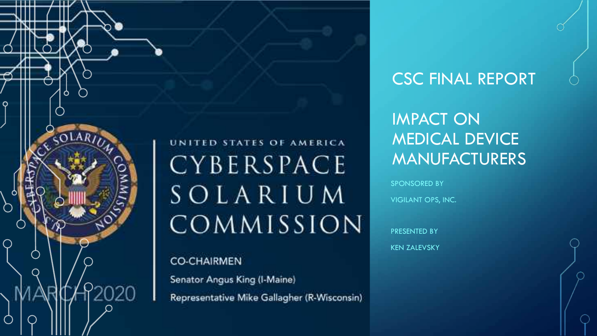

UNITED STATES OF AMERICA CYBERSPACE SOLARIUM COMMISSION

Representative Mike Gallagher (R-Wisconsin)

### CSC FINAL REPORT

IMPACT ON MEDICAL DEVICE MANUFACTURERS

SPONSORED BY VIGILANT OPS, INC.

PRESENTED BY KEN ZALEVSKY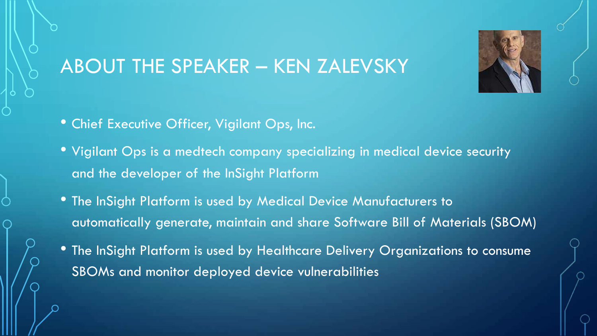

# ABOUT THE SPEAKER – KEN ZALEVSKY

- Chief Executive Officer, Vigilant Ops, Inc.
- Vigilant Ops is a medtech company specializing in medical device security and the developer of the InSight Platform
- The InSight Platform is used by Medical Device Manufacturers to automatically generate, maintain and share Software Bill of Materials (SBOM)
- The InSight Platform is used by Healthcare Delivery Organizations to consume SBOMs and monitor deployed device vulnerabilities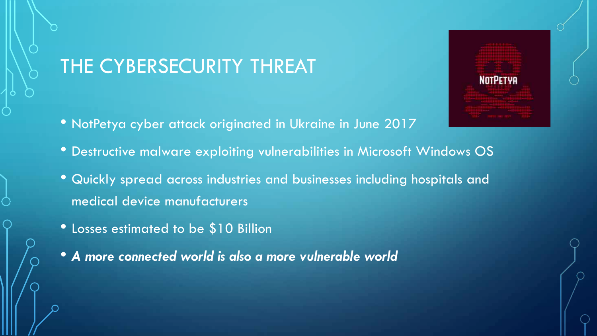# THE CYBERSECURITY THREAT

- NotPetya cyber attack originated in Ukraine in June 2017
- Destructive malware exploiting vulnerabilities in Microsoft Windows OS

**NOTPETYA** 

- Quickly spread across industries and businesses including hospitals and medical device manufacturers
- Losses estimated to be \$10 Billion
- *A more connected world is also a more vulnerable world*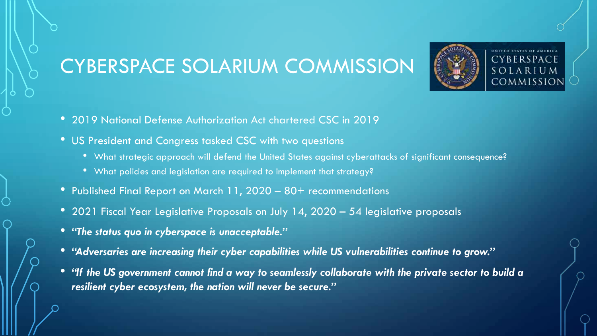# CYBERSPACE SOLARIUM COMMISSION



- 2019 National Defense Authorization Act chartered CSC in 2019
- US President and Congress tasked CSC with two questions
	- What strategic approach will defend the United States against cyberattacks of significant consequence?
	- What policies and legislation are required to implement that strategy?
- Published Final Report on March 11, 2020 80+ recommendations
- 2021 Fiscal Year Legislative Proposals on July 14, 2020 54 legislative proposals
- *"The status quo in cyberspace is unacceptable."*
- *"Adversaries are increasing their cyber capabilities while US vulnerabilities continue to grow."*
- *"If the US government cannot find a way to seamlessly collaborate with the private sector to build a resilient cyber ecosystem, the nation will never be secure."*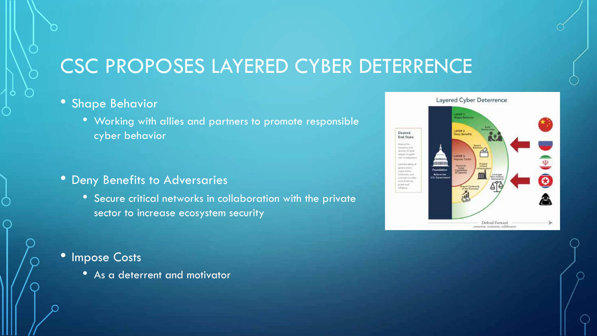# CSC PROPOSES LAYERED CYBER DETERRENCE

#### • Shape Behavior

• Working with allies and partners to promote responsible cyber behavior

#### • Deny Benefits to Adversaries

• Secure critical networks in collaboration with the private sector to increase ecosystem security

#### • Impose Costs

• As a deterrent and motivator

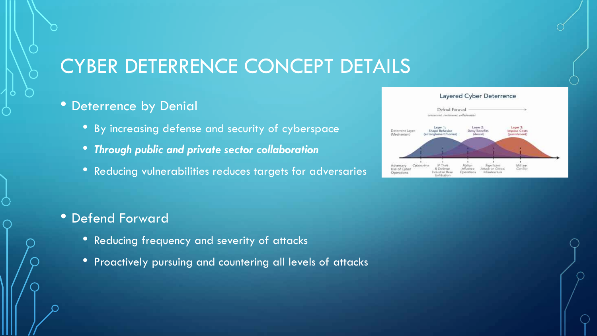# CYBER DETERRENCE CONCEPT DETAILS

#### • Deterrence by Denial

- By increasing defense and security of cyberspace
- *Through public and private sector collaboration*
- Reducing vulnerabilities reduces targets for adversaries

#### • Defend Forward

- Reducing frequency and severity of attacks
- Proactively pursuing and countering all levels of attacks

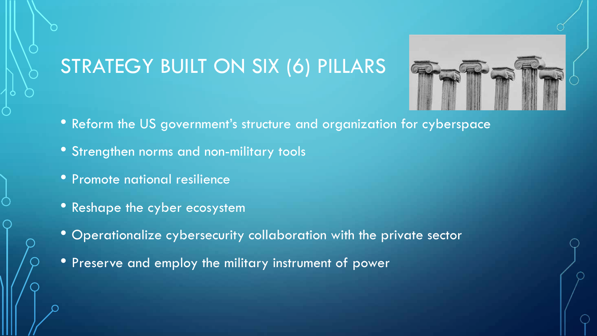# STRATEGY BUILT ON SIX (6) PILLARS



- Reform the US government's structure and organization for cyberspace
- Strengthen norms and non-military tools
- Promote national resilience
- Reshape the cyber ecosystem
- Operationalize cybersecurity collaboration with the private sector
- Preserve and employ the military instrument of power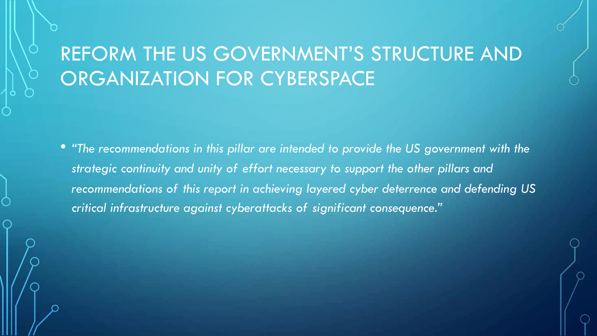# REFORM THE US GOVERNMENT'S STRUCTURE AND ORGANIZATION FOR CYBERSPACE

• *"The recommendations in this pillar are intended to provide the US government with the strategic continuity and unity of effort necessary to support the other pillars and recommendations of this report in achieving layered cyber deterrence and defending US critical infrastructure against cyberattacks of significant consequence."*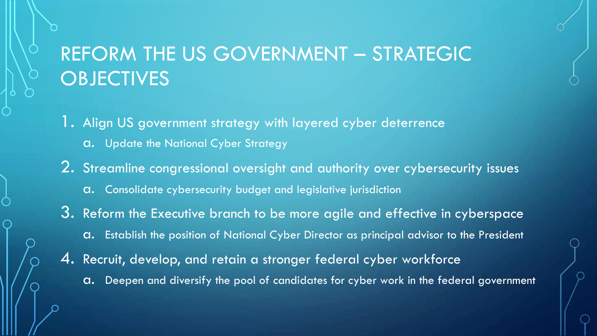# REFORM THE US GOVERNMENT - STRATEGIC **OBJECTIVES**

- 1. Align US government strategy with layered cyber deterrence
	- a. Update the National Cyber Strategy
- 2. Streamline congressional oversight and authority over cybersecurity issues
	- a. Consolidate cybersecurity budget and legislative jurisdiction
- 3. Reform the Executive branch to be more agile and effective in cyberspace a. Establish the position of National Cyber Director as principal advisor to the President
- 4. Recruit, develop, and retain a stronger federal cyber workforce
	- a. Deepen and diversify the pool of candidates for cyber work in the federal government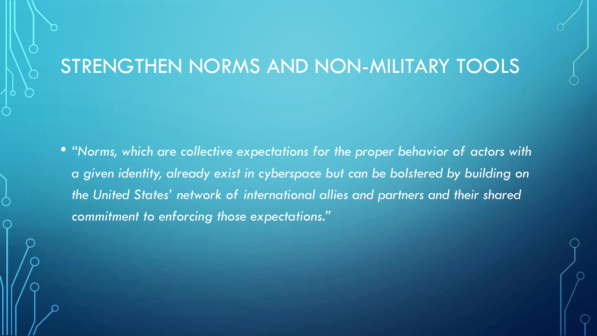### STRENGTHEN NORMS AND NON-MILITARY TOOLS

• *"Norms, which are collective expectations for the proper behavior of actors with a given identity, already exist in cyberspace but can be bolstered by building on the United States' network of international allies and partners and their shared commitment to enforcing those expectations."*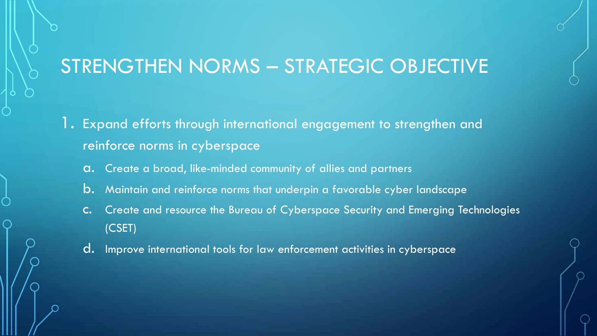### STRENGTHEN NORMS – STRATEGIC OBJECTIVE

- Expand efforts through international engagement to strengthen and reinforce norms in cyberspace
	- a. Create a broad, like-minded community of allies and partners
	- b. Maintain and reinforce norms that underpin a favorable cyber landscape
	- c. Create and resource the Bureau of Cyberspace Security and Emerging Technologies (CSET)
	- d. Improve international tools for law enforcement activities in cyberspace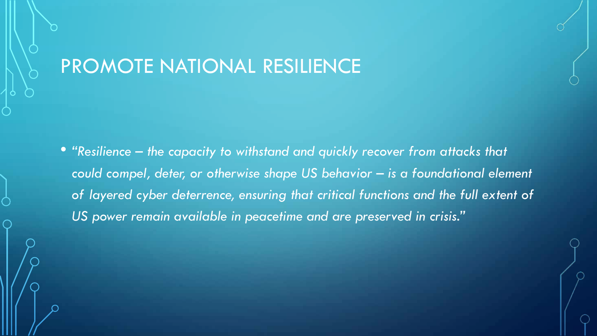### PROMOTE NATIONAL RESILIENCE

• *"Resilience – the capacity to withstand and quickly recover from attacks that could compel, deter, or otherwise shape US behavior – is a foundational element of layered cyber deterrence, ensuring that critical functions and the full extent of US power remain available in peacetime and are preserved in crisis."*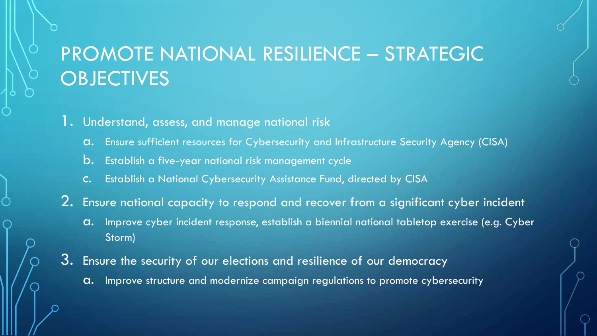# PROMOTE NATIONAL RESILIENCE – STRATEGIC **OBJECTIVES**

1. Understand, assess, and manage national risk

- a. Ensure sufficient resources for Cybersecurity and Infrastructure Security Agency (CISA)
- b. Establish a five-year national risk management cycle
- c. Establish a National Cybersecurity Assistance Fund, directed by CISA
- 2. Ensure national capacity to respond and recover from a significant cyber incident
	- a. Improve cyber incident response, establish a biennial national tabletop exercise (e.g. Cyber Storm)
- 3. Ensure the security of our elections and resilience of our democracy
	- a. Improve structure and modernize campaign regulations to promote cybersecurity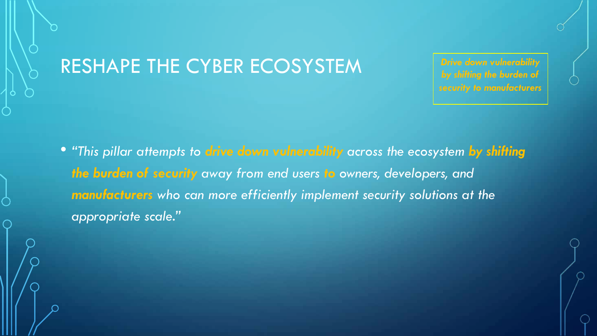### RESHAPE THE CYBER ECOSYSTEM

*Drive down vulnerability by shifting the burden of security to manufacturers*

• *"This pillar attempts to drive down vulnerability across the ecosystem by shifting the burden of security away from end users to owners, developers, and manufacturers who can more efficiently implement security solutions at the appropriate scale."*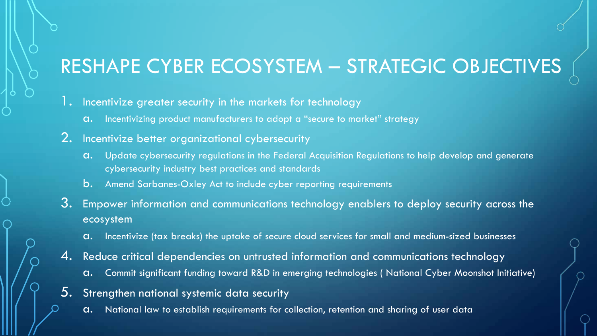# RESHAPE CYBER ECOSYSTEM – STRATEGIC OBJECTIVES

- 1. Incentivize greater security in the markets for technology
	- a. Incentivizing product manufacturers to adopt a "secure to market" strategy
- 2. Incentivize better organizational cybersecurity
	- a. Update cybersecurity regulations in the Federal Acquisition Regulations to help develop and generate cybersecurity industry best practices and standards
	- b. Amend Sarbanes-Oxley Act to include cyber reporting requirements
- 3. Empower information and communications technology enablers to deploy security across the ecosystem
	- a. Incentivize (tax breaks) the uptake of secure cloud services for small and medium-sized businesses
- 4. Reduce critical dependencies on untrusted information and communications technology
	- a. Commit significant funding toward R&D in emerging technologies ( National Cyber Moonshot Initiative)
- 5. Strengthen national systemic data security
	- a. National law to establish requirements for collection, retention and sharing of user data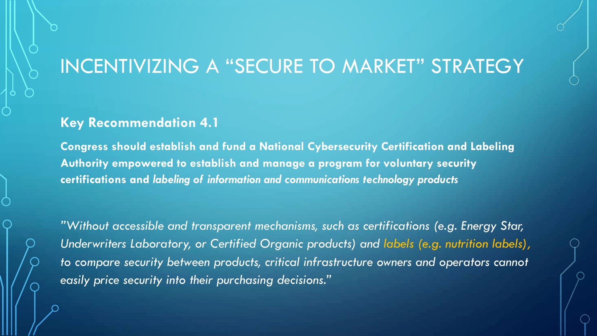### INCENTIVIZING A "SECURE TO MARKET" STRATEGY

#### **Key Recommendation 4.1**

**Congress should establish and fund a National Cybersecurity Certification and Labeling Authority empowered to establish and manage a program for voluntary security certifications and** *labeling of information and communications technology products*

*"Without accessible and transparent mechanisms, such as certifications (e.g. Energy Star, Underwriters Laboratory, or Certified Organic products) and labels (e.g. nutrition labels), to compare security between products, critical infrastructure owners and operators cannot easily price security into their purchasing decisions."*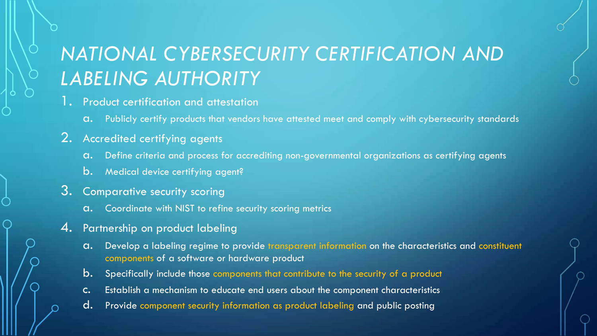# *NATIONAL CYBERSECURITY CERTIFICATION AND LABELING AUTHORITY*

- 1. Product certification and attestation
	- a. Publicly certify products that vendors have attested meet and comply with cybersecurity standards

#### 2. Accredited certifying agents

- a. Define criteria and process for accrediting non-governmental organizations as certifying agents
- b. Medical device certifying agent?
- 3. Comparative security scoring
	- a. Coordinate with NIST to refine security scoring metrics
- 4. Partnership on product labeling
	- a. Develop a labeling regime to provide transparent information on the characteristics and constituent components of a software or hardware product
	- b. Specifically include those components that contribute to the security of a product
	- c. Establish a mechanism to educate end users about the component characteristics
	- d. Provide component security information as product labeling and public posting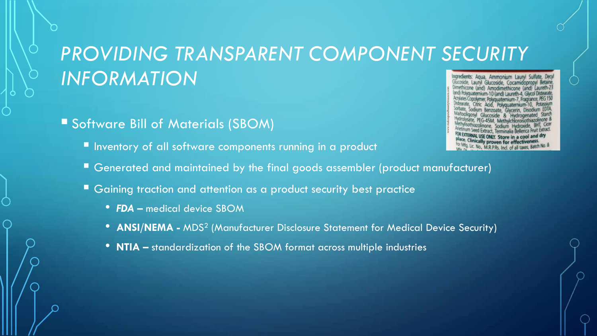# *PROVIDING TRANSPARENT COMPONENT SECURITY INFORMATION*

#### § Software Bill of Materials (SBOM)

**■ Inventory of all software components running in a product** 

- Ingredients: Aqua, Ammonium Lauryl Sulfate, Dec imethicone (and) Amodimethicone (and) andi Polyguaternium-10 (and) Laureth-4, Glycol
- Generated and maintained by the final goods assembler (product manufacturer)
- Gaining traction and attention as a product security best practice
	- *FDA –* medical device SBOM
	- **ANSI/NEMA -** MDS<sup>2</sup> (Manufacturer Disclosure Statement for Medical Device Security)
	- **NTIA –** standardization of the SBOM format across multiple industries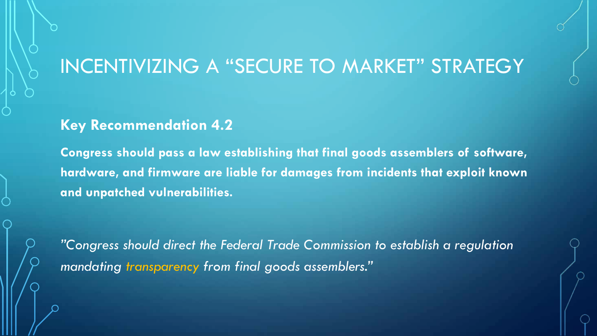### INCENTIVIZING A "SECURE TO MARKET" STRATEGY

#### **Key Recommendation 4.2**

**Congress should pass a law establishing that final goods assemblers of software, hardware, and firmware are liable for damages from incidents that exploit known and unpatched vulnerabilities.**

*"Congress should direct the Federal Trade Commission to establish a regulation mandating transparency from final goods assemblers."*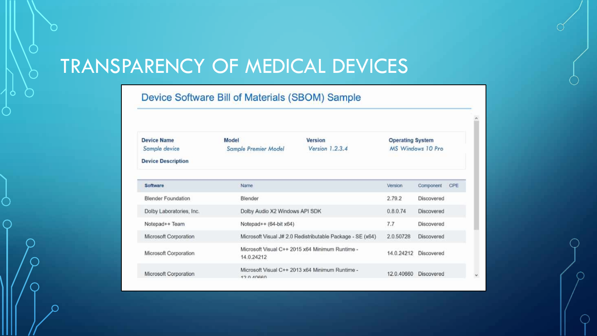# TRANSPARENCY OF MEDICAL DEVICES

Device Software Bill of Materials (SBOM) Sample

| <b>Device Name</b>        | Model                                                         | Version<br>Version $1.2.3.4$                    | <b>Operating System</b> |                   |     |
|---------------------------|---------------------------------------------------------------|-------------------------------------------------|-------------------------|-------------------|-----|
| Sample device             | Sample Premier Model                                          |                                                 |                         | MS Windows 10 Pro |     |
| <b>Device Description</b> |                                                               |                                                 |                         |                   |     |
| Software                  | Name                                                          |                                                 | Version                 | Component         | CPE |
| <b>Blender Foundation</b> | Blender                                                       |                                                 | 2.79.2                  | Discovered        |     |
| Dolby Laboratories, Inc.  | Dolby Audio X2 Windows API SDK                                |                                                 | 0.8.0.74                | <b>Discovered</b> |     |
| Notepad++ Team            | Notepad $++$ (64-bit $x64$ )                                  |                                                 | 7.7                     | Discovered        |     |
| Microsoft Corporation     | Microsoft Visual J# 2.0 Redistributable Package - SE (x64)    |                                                 | 2.0.50728               | Discovered        |     |
| Microsoft Corporation     | Microsoft Visual C++ 2015 x64 Minimum Runtime -<br>14.0.24212 |                                                 | 14.0.24212              | Discovered        |     |
| Microsoft Corporation     | 12000000                                                      | Microsoft Visual C++ 2013 x64 Minimum Runtime - | 12.0.40660              | Discovered        |     |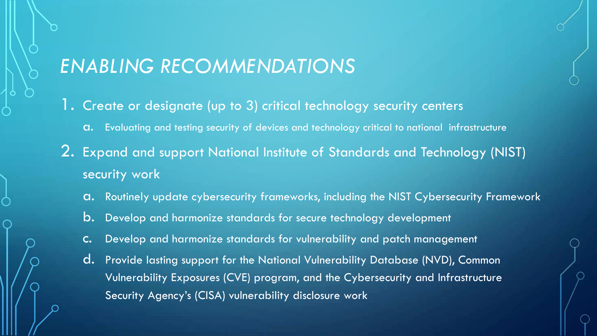### *ENABLING RECOMMENDATIONS*

- 1. Create or designate (up to 3) critical technology security centers
	- a. Evaluating and testing security of devices and technology critical to national infrastructure
- 2. Expand and support National Institute of Standards and Technology (NIST) security work
	- a. Routinely update cybersecurity frameworks, including the NIST Cybersecurity Framework
	- b. Develop and harmonize standards for secure technology development
	- c. Develop and harmonize standards for vulnerability and patch management
	- d. Provide lasting support for the National Vulnerability Database (NVD), Common Vulnerability Exposures (CVE) program, and the Cybersecurity and Infrastructure Security Agency's (CISA) vulnerability disclosure work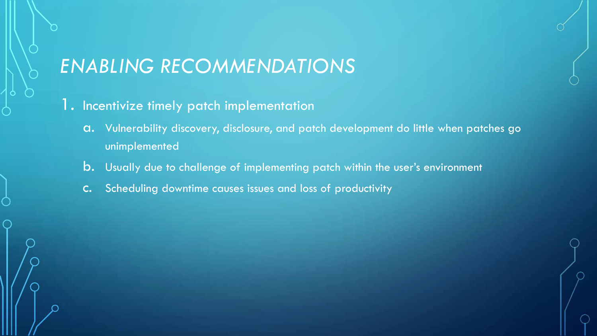### *ENABLING RECOMMENDATIONS*

- 1. Incentivize timely patch implementation
	- a. Vulnerability discovery, disclosure, and patch development do little when patches go unimplemented
	- b. Usually due to challenge of implementing patch within the user's environment
	- c. Scheduling downtime causes issues and loss of productivity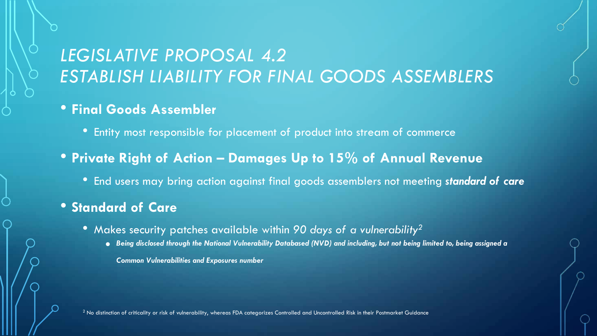### *LEGISLATIVE PROPOSAL 4.2 ESTABLISH LIABILITY FOR FINAL GOODS ASSEMBLERS*

#### • **Final Goods Assembler**

- Entity most responsible for placement of product into stream of commerce
- **Private Right of Action – Damages Up to 15% of Annual Revenue**
	- End users may bring action against final goods assemblers not meeting *standard of care*

#### • **Standard of Care**

- Makes security patches available within *90 days of a vulnerability2*
	- *Being disclosed through the National Vulnerability Databased (NVD) and including, but not being limited to, being assigned a*

*Common Vulnerabilities and Exposures number*

 $<sup>2</sup>$  No distinction of criticality or risk of vulnerability, whereas FDA categorizes Controlled and Uncontrolled Risk in their Postmarket Guidance</sup>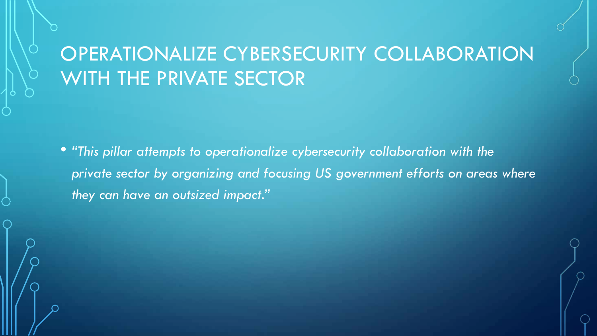# OPERATIONALIZE CYBERSECURITY COLLABORATION WITH THE PRIVATE SECTOR

• *"This pillar attempts to operationalize cybersecurity collaboration with the private sector by organizing and focusing US government efforts on areas where they can have an outsized impact."*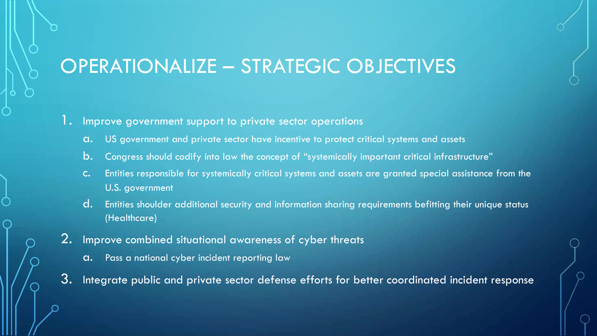### OPERATIONALIZE – STRATEGIC OBJECTIVES

#### 1. Improve government support to private sector operations

- a. US government and private sector have incentive to protect critical systems and assets
- b. Congress should codify into law the concept of "systemically important critical infrastructure"
- c. Entities responsible for systemically critical systems and assets are granted special assistance from the U.S. government
- d. Entities shoulder additional security and information sharing requirements befitting their unique status (Healthcare)
- 2. Improve combined situational awareness of cyber threats
	- a. Pass a national cyber incident reporting law
- 3. Integrate public and private sector defense efforts for better coordinated incident response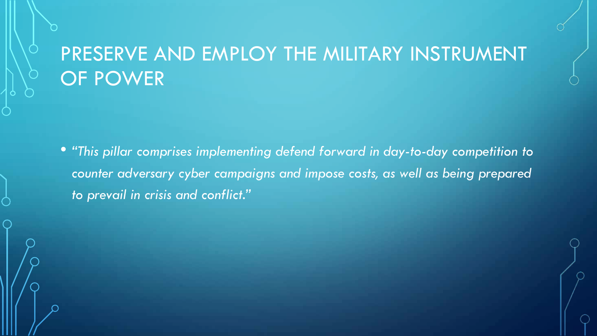# PRESERVE AND EMPLOY THE MILITARY INSTRUMENT OF POWER

• *"This pillar comprises implementing defend forward in day-to-day competition to counter adversary cyber campaigns and impose costs, as well as being prepared to prevail in crisis and conflict."*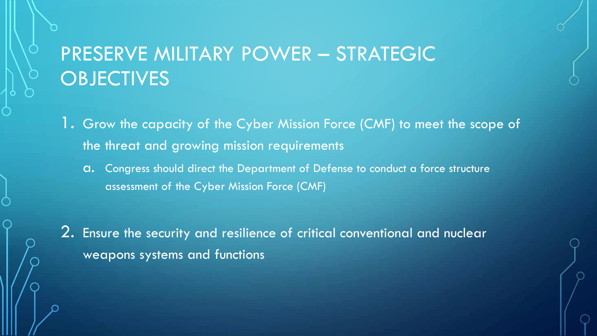# PRESERVE MILITARY POWER – STRATEGIC **OBJECTIVES**

1. Grow the capacity of the Cyber Mission Force (CMF) to meet the scope of the threat and growing mission requirements

a. Congress should direct the Department of Defense to conduct a force structure assessment of the Cyber Mission Force (CMF)

2. Ensure the security and resilience of critical conventional and nuclear weapons systems and functions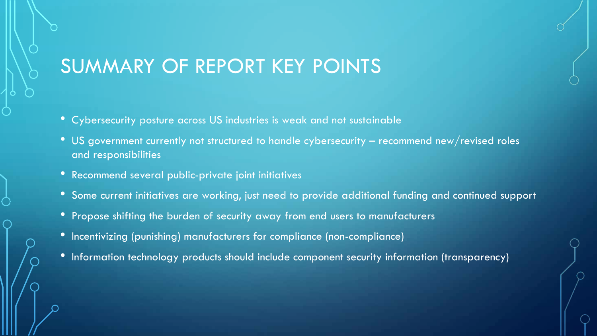### SUMMARY OF REPORT KEY POINTS

- Cybersecurity posture across US industries is weak and not sustainable
- US government currently not structured to handle cybersecurity recommend new/revised roles and responsibilities
- Recommend several public-private joint initiatives
- Some current initiatives are working, just need to provide additional funding and continued support
- Propose shifting the burden of security away from end users to manufacturers
- Incentivizing (punishing) manufacturers for compliance (non-compliance)
- Information technology products should include component security information (transparency)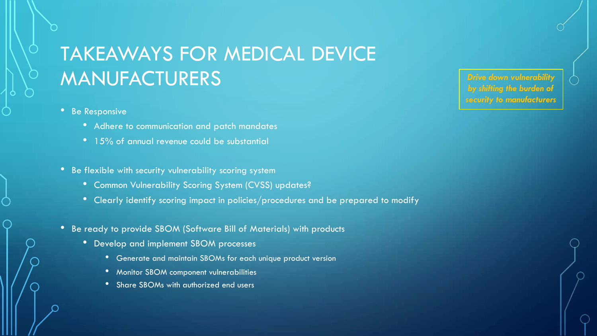# TAKEAWAYS FOR MEDICAL DEVICE MANUFACTURERS

- Be Responsive
	- Adhere to communication and patch mandates
	- 15% of annual revenue could be substantial
- Be flexible with security vulnerability scoring system
	- Common Vulnerability Scoring System (CVSS) updates?
	- Clearly identify scoring impact in policies/procedures and be prepared to modify
- Be ready to provide SBOM (Software Bill of Materials) with products
	- Develop and implement SBOM processes
		- Generate and maintain SBOMs for each unique product version
		- Monitor SBOM component vulnerabilities
		- Share SBOMs with authorized end users

*Drive down vulnerabili by shifting the burden of security to manufacturers*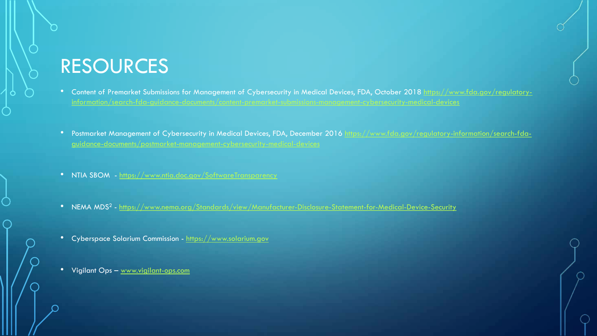### RESOURCES

- [Content of Premarket Submissions for Management of Cybersecurity in Medical Devices, FDA, October 2018 https://www.fda.gov/regulatory](https://www.fda.gov/regulatory-information/search-fda-guidance-documents/content-premarket-submissions-management-cybersecurity-medical-devices)information/search-fda-guidance-documents/content-premarket-submissions-management-cybersecurity-medical-devices
- [Postmarket Management of Cybersecurity in Medical Devices, FDA, December 2016 https://www.fda.gov/regulatory-information/search-fda](https://www.fda.gov/regulatory-information/search-fda-guidance-documents/postmarket-management-cybersecurity-medical-devices)guidance-documents/postmarket-management-cybersecurity-medical-devices
- NTIA SBOM <https://www.ntia.doc.gov/SoftwareTransparency>
- NEMA MDS<sup>2</sup> <https://www.nema.org/Standards/view/Manufacturer-Disclosure-Statement-for-Medical-Device-Security>
- Cyberspace Solarium Commission [https://www.solarium.gov](https://www.solarium.gov/)
- Vigilant Ops [www.vigilant-ops.com](http://www.vigilant-ops.com/)